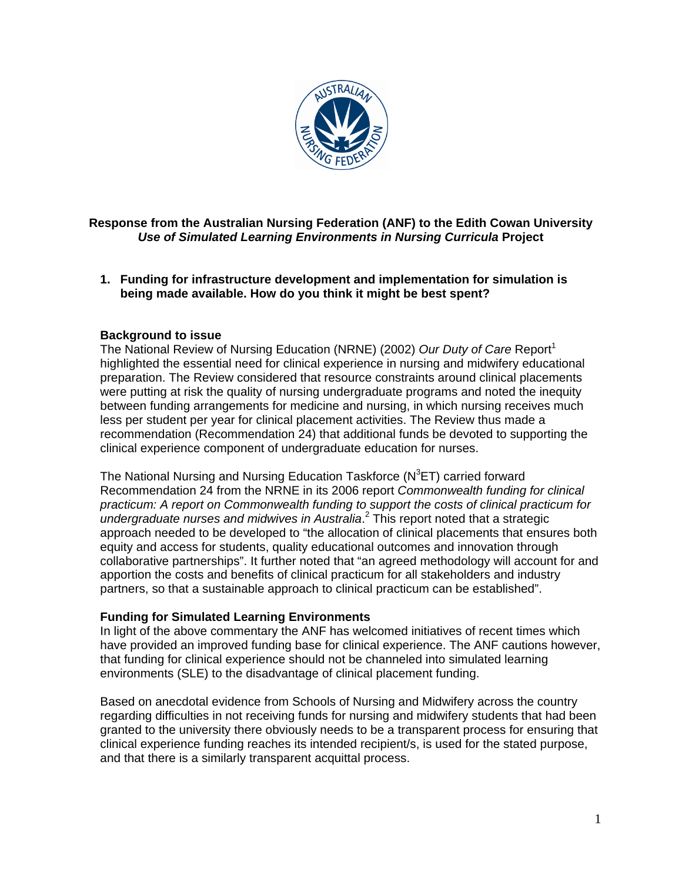

## **Response from the Australian Nursing Federation (ANF) to the Edith Cowan University**  *Use of Simulated Learning Environments in Nursing Curricula* **Project**

**1. Funding for infrastructure development and implementation for simulation is being made available. How do you think it might be best spent?** 

#### **Background to issue**

The National Review of Nursing Education (NRNE) (2002) *Our Duty of Care* Report<sup>1</sup> highlighted the essential need for clinical experience in nursing and midwifery educational preparation. The Review considered that resource constraints around clinical placements were putting at risk the quality of nursing undergraduate programs and noted the inequity between funding arrangements for medicine and nursing, in which nursing receives much less per student per year for clinical placement activities. The Review thus made a recommendation (Recommendation 24) that additional funds be devoted to supporting the clinical experience component of undergraduate education for nurses.

The National Nursing and Nursing Education Taskforce ( $N^3$ ET) carried forward Recommendation 24 from the NRNE in its 2006 report *Commonwealth funding for clinical practicum: A report on Commonwealth funding to support the costs of clinical practicum for undergraduate nurses and midwives in Australia*. 2 This report noted that a strategic approach needed to be developed to "the allocation of clinical placements that ensures both equity and access for students, quality educational outcomes and innovation through collaborative partnerships". It further noted that "an agreed methodology will account for and apportion the costs and benefits of clinical practicum for all stakeholders and industry partners, so that a sustainable approach to clinical practicum can be established".

#### **Funding for Simulated Learning Environments**

In light of the above commentary the ANF has welcomed initiatives of recent times which have provided an improved funding base for clinical experience. The ANF cautions however, that funding for clinical experience should not be channeled into simulated learning environments (SLE) to the disadvantage of clinical placement funding.

Based on anecdotal evidence from Schools of Nursing and Midwifery across the country regarding difficulties in not receiving funds for nursing and midwifery students that had been granted to the university there obviously needs to be a transparent process for ensuring that clinical experience funding reaches its intended recipient/s, is used for the stated purpose, and that there is a similarly transparent acquittal process.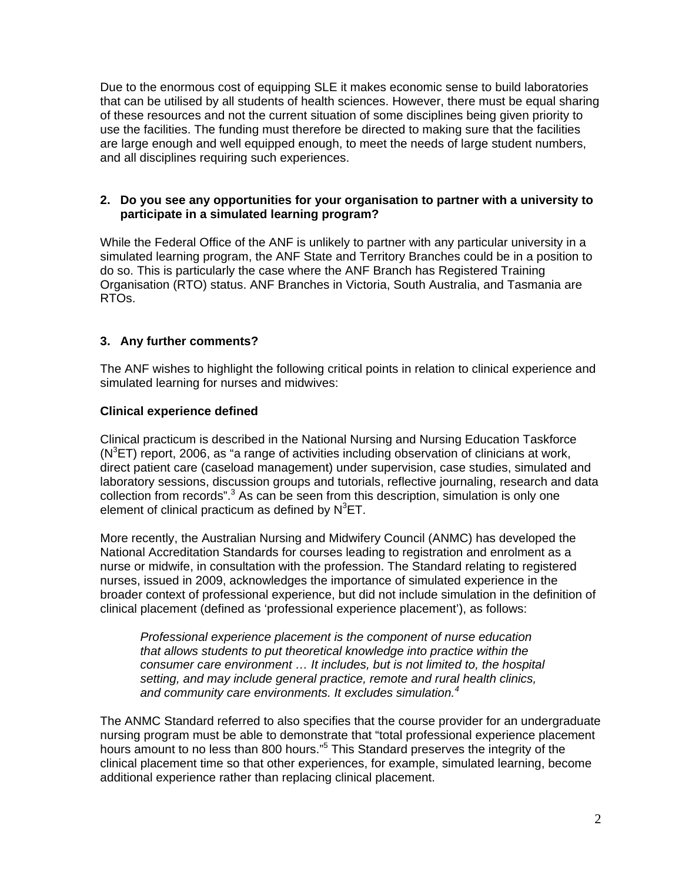Due to the enormous cost of equipping SLE it makes economic sense to build laboratories that can be utilised by all students of health sciences. However, there must be equal sharing of these resources and not the current situation of some disciplines being given priority to use the facilities. The funding must therefore be directed to making sure that the facilities are large enough and well equipped enough, to meet the needs of large student numbers, and all disciplines requiring such experiences.

#### **2. Do you see any opportunities for your organisation to partner with a university to participate in a simulated learning program?**

While the Federal Office of the ANF is unlikely to partner with any particular university in a simulated learning program, the ANF State and Territory Branches could be in a position to do so. This is particularly the case where the ANF Branch has Registered Training Organisation (RTO) status. ANF Branches in Victoria, South Australia, and Tasmania are RTOs.

### **3. Any further comments?**

The ANF wishes to highlight the following critical points in relation to clinical experience and simulated learning for nurses and midwives:

### **Clinical experience defined**

Clinical practicum is described in the National Nursing and Nursing Education Taskforce  $(N^3ET)$  report, 2006, as "a range of activities including observation of clinicians at work, direct patient care (caseload management) under supervision, case studies, simulated and laboratory sessions, discussion groups and tutorials, reflective journaling, research and data collection from records".<sup>3</sup> As can be seen from this description, simulation is only one element of clinical practicum as defined by  $N^3$ ET.

More recently, the Australian Nursing and Midwifery Council (ANMC) has developed the National Accreditation Standards for courses leading to registration and enrolment as a nurse or midwife, in consultation with the profession. The Standard relating to registered nurses, issued in 2009, acknowledges the importance of simulated experience in the broader context of professional experience, but did not include simulation in the definition of clinical placement (defined as 'professional experience placement'), as follows:

*Professional experience placement is the component of nurse education that allows students to put theoretical knowledge into practice within the consumer care environment … It includes, but is not limited to, the hospital setting, and may include general practice, remote and rural health clinics, and community care environments. It excludes simulation.<sup>4</sup>* 

The ANMC Standard referred to also specifies that the course provider for an undergraduate nursing program must be able to demonstrate that "total professional experience placement hours amount to no less than 800 hours."<sup>5</sup> This Standard preserves the integrity of the clinical placement time so that other experiences, for example, simulated learning, become additional experience rather than replacing clinical placement.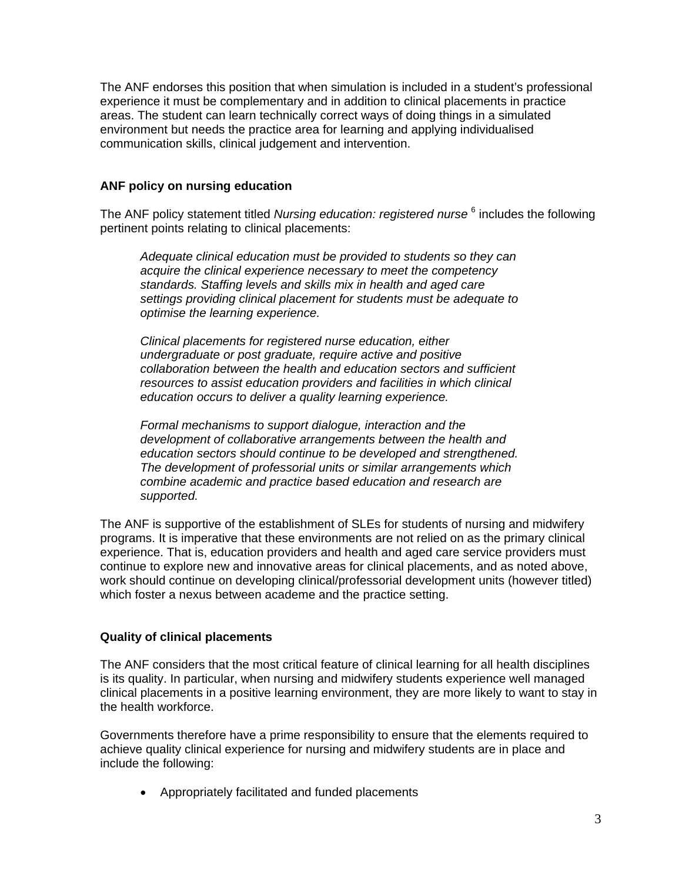The ANF endorses this position that when simulation is included in a student's professional experience it must be complementary and in addition to clinical placements in practice areas. The student can learn technically correct ways of doing things in a simulated environment but needs the practice area for learning and applying individualised communication skills, clinical judgement and intervention.

### **ANF policy on nursing education**

The ANF policy statement titled Nursing education: registered nurse <sup>6</sup> includes the following pertinent points relating to clinical placements:

*Adequate clinical education must be provided to students so they can acquire the clinical experience necessary to meet the competency standards. Staffing levels and skills mix in health and aged care settings providing clinical placement for students must be adequate to optimise the learning experience.* 

*Clinical placements for registered nurse education, either undergraduate or post graduate, require active and positive collaboration between the health and education sectors and sufficient resources to assist education providers and facilities in which clinical education occurs to deliver a quality learning experience.* 

*Formal mechanisms to support dialogue, interaction and the development of collaborative arrangements between the health and education sectors should continue to be developed and strengthened. The development of professorial units or similar arrangements which combine academic and practice based education and research are supported.* 

The ANF is supportive of the establishment of SLEs for students of nursing and midwifery programs. It is imperative that these environments are not relied on as the primary clinical experience. That is, education providers and health and aged care service providers must continue to explore new and innovative areas for clinical placements, and as noted above, work should continue on developing clinical/professorial development units (however titled) which foster a nexus between academe and the practice setting.

# **Quality of clinical placements**

The ANF considers that the most critical feature of clinical learning for all health disciplines is its quality. In particular, when nursing and midwifery students experience well managed clinical placements in a positive learning environment, they are more likely to want to stay in the health workforce.

Governments therefore have a prime responsibility to ensure that the elements required to achieve quality clinical experience for nursing and midwifery students are in place and include the following:

Appropriately facilitated and funded placements